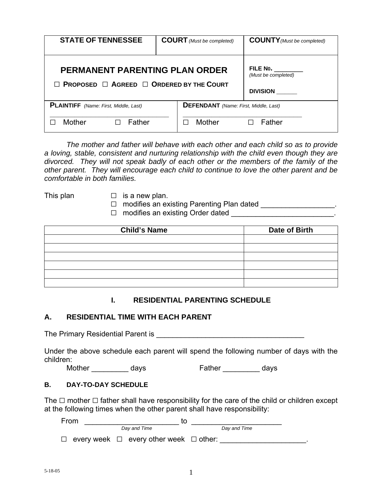| <b>STATE OF TENNESSEE</b>                                                                          | <b>COURT</b> (Must be completed)                          | <b>COUNTY</b> (Must be completed) |
|----------------------------------------------------------------------------------------------------|-----------------------------------------------------------|-----------------------------------|
| <b>PERMANENT PARENTING PLAN ORDER</b><br>$\Box$ Proposed $\Box$ Agreed $\Box$ Ordered by the Court | <b>FILE No.</b><br>(Must be completed)<br><b>DIVISION</b> |                                   |
| <b>PLAINTIFF</b> (Name: First, Middle, Last)                                                       | <b>DEFENDANT</b> (Name: First, Middle, Last)              |                                   |
| Mother<br>Father                                                                                   | <b>Mother</b>                                             | Father                            |

*The mother and father will behave with each other and each child so as to provide a loving, stable, consistent and nurturing relationship with the child even though they are divorced. They will not speak badly of each other or the members of the family of the other parent. They will encourage each child to continue to love the other parent and be comfortable in both families.* 

- This plan  $\square$  is a new plan.
	- $\Box$  modifies an existing Parenting Plan dated  $\Box$
	- $\Box$  modifies an existing Order dated

| <b>Child's Name</b> | Date of Birth |
|---------------------|---------------|
|                     |               |
|                     |               |
|                     |               |
|                     |               |
|                     |               |
|                     |               |

#### **I. RESIDENTIAL PARENTING SCHEDULE**

## **A. RESIDENTIAL TIME WITH EACH PARENT**

The Primary Residential Parent is **Example 20** Figures 1. The Primary Residential Parent is

Under the above schedule each parent will spend the following number of days with the children:

Mother \_\_\_\_\_\_\_\_\_ days \_\_\_\_\_\_\_\_ Father \_\_\_\_\_\_\_\_ days

#### **B. DAY-TO-DAY SCHEDULE**

The  $\Box$  mother  $\Box$  father shall have responsibility for the care of the child or children except at the following times when the other parent shall have responsibility:

From \_\_\_\_\_\_\_\_\_\_\_\_\_\_\_\_\_\_\_\_\_\_\_ to \_\_\_\_\_\_\_\_\_\_\_\_\_\_\_\_\_\_\_\_\_\_ *Day and Time Day and Time*   $\Box$  every week  $\Box$  every other week  $\Box$  other: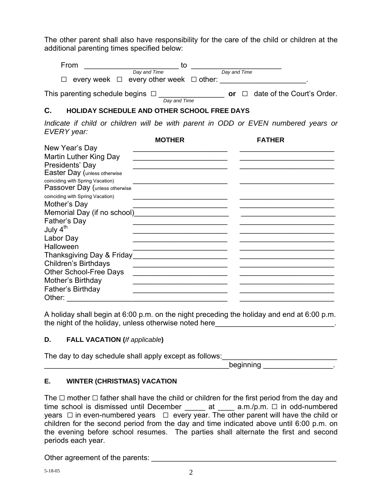The other parent shall also have responsibility for the care of the child or children at the additional parenting times specified below:

| Day and Time<br>Day and Time                            | From | tc |  |
|---------------------------------------------------------|------|----|--|
| $\Box$ every week $\Box$ every other week $\Box$ other: |      |    |  |

This parenting schedule begins  $\square$  **or**  $\square$  date of the Court's Order.  *Day and Time* 

#### **C. HOLIDAY SCHEDULE AND OTHER SCHOOL FREE DAYS**

*Indicate if child or children will be with parent in ODD or EVEN numbered years or EVERY year:* 

|                                  | <b>MOTHER</b> | <b>FATHER</b> |
|----------------------------------|---------------|---------------|
| New Year's Day                   |               |               |
| Martin Luther King Day           |               |               |
| Presidents' Day                  |               |               |
| Easter Day (unless otherwise     |               |               |
| coinciding with Spring Vacation) |               |               |
| Passover Day (unless otherwise   |               |               |
| coinciding with Spring Vacation) |               |               |
| Mother's Day                     |               |               |
| Memorial Day (if no school)      |               |               |
| Father's Day                     |               |               |
| July 4 <sup>th</sup>             |               |               |
| Labor Day                        |               |               |
| Halloween                        |               |               |
| Thanksgiving Day & Friday        |               |               |
| <b>Children's Birthdays</b>      |               |               |
| <b>Other School-Free Days</b>    |               |               |
| Mother's Birthday                |               |               |
| Father's Birthday                |               |               |
| Other:                           |               |               |

A holiday shall begin at 6:00 p.m. on the night preceding the holiday and end at 6:00 p.m. the night of the holiday, unless otherwise noted here

#### **D. FALL VACATION (***If applicable***)**

The day to day schedule shall apply except as follows:

 $\blacksquare$  beginning  $\blacksquare$ 

## **E. WINTER (CHRISTMAS) VACATION**

The  $\Box$  mother  $\Box$  father shall have the child or children for the first period from the day and time school is dismissed until December  $\qquad \qquad$  at  $\qquad a.m./p.m. \Box$  in odd-numbered years  $\Box$  in even-numbered years  $\Box$  every year. The other parent will have the child or children for the second period from the day and time indicated above until 6:00 p.m. on the evening before school resumes. The parties shall alternate the first and second periods each year.

Other agreement of the parents: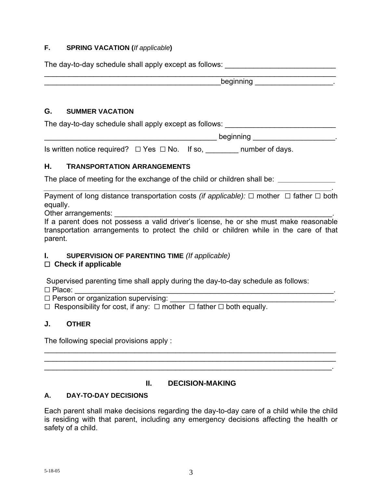#### **F. SPRING VACATION (***If applicable***)**

The day-to-day schedule shall apply except as follows: \_\_\_\_\_\_\_\_\_\_\_\_\_\_\_\_\_\_\_\_\_\_\_\_\_\_\_\_\_\_\_\_\_\_\_\_\_\_\_\_\_\_\_\_\_\_\_\_\_\_\_\_\_\_\_\_\_\_\_\_\_\_\_\_\_\_\_\_\_\_\_

beginning the control of the second second second second second second second second second second second second second second second second second second second second second second second second second second second seco

#### **G. SUMMER VACATION**

The day-to-day schedule shall apply except as follows:

\_\_\_\_\_\_\_\_\_\_\_\_\_\_\_\_\_\_\_\_\_\_\_\_\_\_\_\_\_\_\_\_\_\_\_\_\_\_\_\_\_\_ beginning \_\_\_\_\_\_\_\_\_\_\_\_\_\_\_\_\_\_\_\_.

Is written notice required?  $\Box$  Yes  $\Box$  No. If so, \_\_\_\_\_\_\_\_ number of days.

#### **H. TRANSPORTATION ARRANGEMENTS**

The place of meeting for the exchange of the child or children shall be: *\_\_\_\_\_\_\_\_\_\_* 

Payment of long distance transportation costs *(if applicable):*  $\Box$  mother  $\Box$  father  $\Box$  both equally.

*\_\_\_\_\_\_\_\_\_\_\_\_\_\_\_\_\_\_\_\_\_\_\_\_\_\_\_\_\_\_\_\_\_\_\_\_\_\_\_\_\_\_\_\_\_\_\_\_\_\_\_\_\_\_\_\_\_\_\_\_\_\_\_\_\_\_\_\_\_\_.*

Other arrangements:

If a parent does not possess a valid driver's license, he or she must make reasonable transportation arrangements to protect the child or children while in the care of that parent.

#### **I. SUPERVISION OF PARENTING TIME** *(If applicable)*

#### G **Check if applicable**

Supervised parenting time shall apply during the day-to-day schedule as follows:

 $\square$  Place:

 $\Box$  Person or organization supervising:

 $\Box$  Responsibility for cost, if any:  $\Box$  mother  $\Box$  father  $\Box$  both equally.

## **J. OTHER**

The following special provisions apply :

#### **II. DECISION-MAKING**

\_\_\_\_\_\_\_\_\_\_\_\_\_\_\_\_\_\_\_\_\_\_\_\_\_\_\_\_\_\_\_\_\_\_\_\_\_\_\_\_\_\_\_\_\_\_\_\_\_\_\_\_\_\_\_\_\_\_\_\_\_\_\_\_\_\_\_\_\_\_\_ \_\_\_\_\_\_\_\_\_\_\_\_\_\_\_\_\_\_\_\_\_\_\_\_\_\_\_\_\_\_\_\_\_\_\_\_\_\_\_\_\_\_\_\_\_\_\_\_\_\_\_\_\_\_\_\_\_\_\_\_\_\_\_\_\_\_\_\_\_\_\_ \_\_\_\_\_\_\_\_\_\_\_\_\_\_\_\_\_\_\_\_\_\_\_\_\_\_\_\_\_\_\_\_\_\_\_\_\_\_\_\_\_\_\_\_\_\_\_\_\_\_\_\_\_\_\_\_\_\_\_\_\_\_\_\_\_\_\_\_\_\_.

#### **A. DAY-TO-DAY DECISIONS**

Each parent shall make decisions regarding the day-to-day care of a child while the child is residing with that parent, including any emergency decisions affecting the health or safety of a child.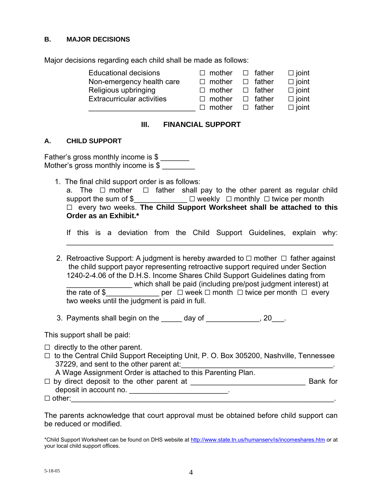#### **B. MAJOR DECISIONS**

Major decisions regarding each child shall be made as follows:

| <b>Educational decisions</b>      | $\Box$ mother | $\Box$ father | $\square$ joint |
|-----------------------------------|---------------|---------------|-----------------|
| Non-emergency health care         | $\Box$ mother | $\Box$ father | $\Box$ joint    |
| Religious upbringing              | $\Box$ mother | $\Box$ father | $\Box$ joint    |
| <b>Extracurricular activities</b> | $\Box$ mother | $\Box$ father | $\Box$ joint    |
|                                   | $\Box$ mother | $\Box$ father | $\Box$ joint    |

## **III. FINANCIAL SUPPORT**

#### **A. CHILD SUPPORT**

Father's gross monthly income is \$ Mother's gross monthly income is  $$$ 

1. The final child support order is as follows:

|                       |  | a. The $\Box$ mother $\Box$ father shall pay to the other parent as regular child |
|-----------------------|--|-----------------------------------------------------------------------------------|
|                       |  |                                                                                   |
|                       |  | $\Box$ every two weeks. The Child Support Worksheet shall be attached to this     |
| Order as an Exhibit.* |  |                                                                                   |

If this is a deviation from the Child Support Guidelines, explain why:  $\mathcal{L}_\text{max} = \mathcal{L}_\text{max} = \mathcal{L}_\text{max} = \mathcal{L}_\text{max} = \mathcal{L}_\text{max} = \mathcal{L}_\text{max} = \mathcal{L}_\text{max} = \mathcal{L}_\text{max} = \mathcal{L}_\text{max} = \mathcal{L}_\text{max} = \mathcal{L}_\text{max} = \mathcal{L}_\text{max} = \mathcal{L}_\text{max} = \mathcal{L}_\text{max} = \mathcal{L}_\text{max} = \mathcal{L}_\text{max} = \mathcal{L}_\text{max} = \mathcal{L}_\text{max} = \mathcal{$ 

- 2. Retroactive Support: A judgment is hereby awarded to  $\Box$  mother  $\Box$  father against the child support payor representing retroactive support required under Section 1240-2-4.06 of the D.H.S. Income Shares Child Support Guidelines dating from \_\_\_\_\_\_\_\_\_\_\_\_\_\_\_\_ which shall be paid (including pre/post judgment interest) at the rate of \$ per  $\Box$  week  $\Box$  month  $\Box$  twice per month  $\Box$  every two weeks until the judgment is paid in full.
- 3. Payments shall begin on the day of the case of the case of the set of the set of the set of the set of the s

This support shall be paid:

- $\Box$  directly to the other parent.
- $\Box$  to the Central Child Support Receipting Unit, P. O. Box 305200, Nashville, Tennessee 37229, and sent to the other parent at:

 A Wage Assignment Order is attached to this Parenting Plan. G by direct deposit to the other parent at \_\_\_\_\_\_\_\_\_\_\_\_\_\_\_\_\_\_\_\_\_\_\_\_\_\_\_\_ Bank for deposit in account no. \_\_\_\_\_\_\_\_\_\_\_\_\_\_\_\_\_\_\_\_\_\_\_\_\_\_\_\_.

 $\Box$  other:

The parents acknowledge that court approval must be obtained before child support can be reduced or modified.

\*Child Support Worksheet can be found on DHS website at <http://www.state.tn.us/humanserv/is/incomeshares.htm> or at your local child support offices.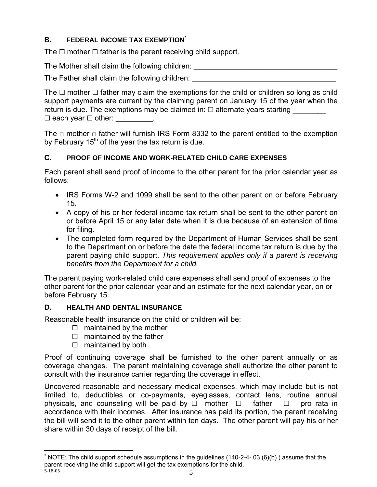## **B. FEDERAL INCOME TAX EXEMPTION[\\*](#page-4-0)**

The  $\Box$  mother  $\Box$  father is the parent receiving child support.

The Mother shall claim the following children: \_\_\_\_\_\_\_\_\_\_\_\_\_\_\_\_\_\_\_\_\_\_\_\_\_\_\_\_\_\_\_\_\_

The Father shall claim the following children:

The  $\Box$  mother  $\Box$  father may claim the exemptions for the child or children so long as child support payments are current by the claiming parent on January 15 of the year when the return is due. The exemptions may be claimed in:  $\Box$  alternate years starting  $\Box$  each year  $\Box$  other: \_\_\_\_\_\_\_\_\_\_\_\_

The  $\Box$  mother  $\Box$  father will furnish IRS Form 8332 to the parent entitled to the exemption by February 15<sup>th</sup> of the year the tax return is due.

# **C. PROOF OF INCOME AND WORK-RELATED CHILD CARE EXPENSES**

Each parent shall send proof of income to the other parent for the prior calendar year as follows:

- IRS Forms W-2 and 1099 shall be sent to the other parent on or before February 15.
- A copy of his or her federal income tax return shall be sent to the other parent on or before April 15 or any later date when it is due because of an extension of time for filing.
- The completed form required by the Department of Human Services shall be sent to the Department on or before the date the federal income tax return is due by the parent paying child support. *This requirement applies only if a parent is receiving benefits from the Department for a child.*

The parent paying work-related child care expenses shall send proof of expenses to the other parent for the prior calendar year and an estimate for the next calendar year, on or before February 15.

## **D. HEALTH AND DENTAL INSURANCE**

Reasonable health insurance on the child or children will be:

- $\Box$  maintained by the mother
- □ maintained by the father
- □ maintained by both

 $\overline{a}$ 

Proof of continuing coverage shall be furnished to the other parent annually or as coverage changes. The parent maintaining coverage shall authorize the other parent to consult with the insurance carrier regarding the coverage in effect.

Uncovered reasonable and necessary medical expenses, which may include but is not limited to, deductibles or co-payments, eyeglasses, contact lens, routine annual physicals, and counseling will be paid by Gmother Gfather Gpro rata in accordance with their incomes. After insurance has paid its portion, the parent receiving the bill will send it to the other parent within ten days. The other parent will pay his or her share within 30 days of receipt of the bill.

<span id="page-4-0"></span> $5-18-05$  5 \* NOTE: The child support schedule assumptions in the guidelines (140-2-4-.03 (6)(b) ) assume that the parent receiving the child support will get the tax exemptions for the child.<br> $5-18-05$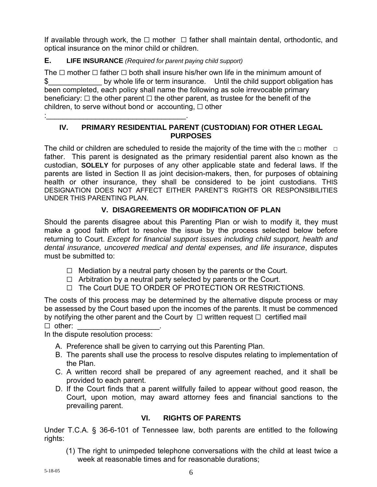If available through work, the  $\Box$  mother  $\Box$  father shall maintain dental, orthodontic, and optical insurance on the minor child or children.

## **E. LIFE INSURANCE** *(Required for parent paying child support)*

The  $\Box$  mother  $\Box$  father  $\Box$  both shall insure his/her own life in the minimum amount of \$ by whole life or term insurance. Until the child support obligation has been completed, each policy shall name the following as sole irrevocable primary beneficiary:  $\Box$  the other parent  $\Box$  the other parent, as trustee for the benefit of the children, to serve without bond or accounting,  $\Box$  other :\_\_\_\_\_\_\_\_\_\_\_\_\_\_\_\_\_\_\_\_\_\_\_\_\_\_\_\_\_\_\_\_\_\_.

**IV. PRIMARY RESIDENTIAL PARENT (CUSTODIAN) FOR OTHER LEGAL PURPOSES** 

The child or children are scheduled to reside the majority of the time with the  $\Box$  mother  $\Box$ father. This parent is designated as the primary residential parent also known as the custodian, **SOLELY** for purposes of any other applicable state and federal laws. If the parents are listed in Section II as joint decision-makers, then, for purposes of obtaining health or other insurance, they shall be considered to be joint custodians. THIS DESIGNATION DOES NOT AFFECT EITHER PARENT'S RIGHTS OR RESPONSIBILITIES UNDER THIS PARENTING PLAN.

# **V. DISAGREEMENTS OR MODIFICATION OF PLAN**

Should the parents disagree about this Parenting Plan or wish to modify it, they must make a good faith effort to resolve the issue by the process selected below before returning to Court. *Except for financial support issues including child support, health and dental insurance, uncovered medical and dental expenses, and life insurance*, disputes must be submitted to:

- $\Box$  Mediation by a neutral party chosen by the parents or the Court.
- $\Box$  Arbitration by a neutral party selected by parents or the Court.
- □ The Court DUE TO ORDER OF PROTECTION OR RESTRICTIONS.

The costs of this process may be determined by the alternative dispute process or may be assessed by the Court based upon the incomes of the parents. It must be commenced by notifying the other parent and the Court by  $\Box$  written request  $\Box$  certified mail  $\Box$  other:

In the dispute resolution process:

- A. Preference shall be given to carrying out this Parenting Plan.
- B. The parents shall use the process to resolve disputes relating to implementation of the Plan.
- C. A written record shall be prepared of any agreement reached, and it shall be provided to each parent.
- D. If the Court finds that a parent willfully failed to appear without good reason, the Court, upon motion, may award attorney fees and financial sanctions to the prevailing parent.

# **VI. RIGHTS OF PARENTS**

Under T.C.A. § 36-6-101 of Tennessee law, both parents are entitled to the following rights:

(1) The right to unimpeded telephone conversations with the child at least twice a week at reasonable times and for reasonable durations;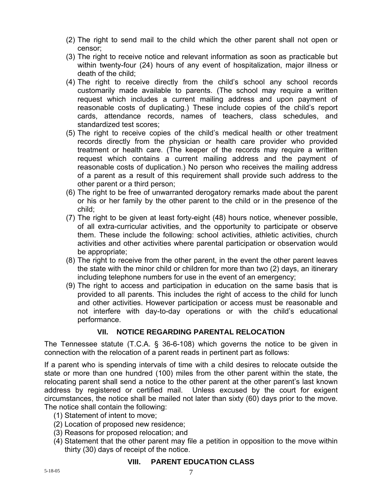- (2) The right to send mail to the child which the other parent shall not open or censor;
- (3) The right to receive notice and relevant information as soon as practicable but within twenty-four (24) hours of any event of hospitalization, major illness or death of the child;
- (4) The right to receive directly from the child's school any school records customarily made available to parents. (The school may require a written request which includes a current mailing address and upon payment of reasonable costs of duplicating.) These include copies of the child's report cards, attendance records, names of teachers, class schedules, and standardized test scores;
- (5) The right to receive copies of the child's medical health or other treatment records directly from the physician or health care provider who provided treatment or health care. (The keeper of the records may require a written request which contains a current mailing address and the payment of reasonable costs of duplication.) No person who receives the mailing address of a parent as a result of this requirement shall provide such address to the other parent or a third person;
- (6) The right to be free of unwarranted derogatory remarks made about the parent or his or her family by the other parent to the child or in the presence of the child;
- (7) The right to be given at least forty-eight (48) hours notice, whenever possible, of all extra-curricular activities, and the opportunity to participate or observe them. These include the following: school activities, athletic activities, church activities and other activities where parental participation or observation would be appropriate;
- (8) The right to receive from the other parent, in the event the other parent leaves the state with the minor child or children for more than two (2) days, an itinerary including telephone numbers for use in the event of an emergency;
- (9) The right to access and participation in education on the same basis that is provided to all parents. This includes the right of access to the child for lunch and other activities. However participation or access must be reasonable and not interfere with day-to-day operations or with the child's educational performance.

## **VII. NOTICE REGARDING PARENTAL RELOCATION**

The Tennessee statute (T.C.A. § 36-6-108) which governs the notice to be given in connection with the relocation of a parent reads in pertinent part as follows:

If a parent who is spending intervals of time with a child desires to relocate outside the state or more than one hundred (100) miles from the other parent within the state, the relocating parent shall send a notice to the other parent at the other parent's last known address by registered or certified mail. Unless excused by the court for exigent circumstances, the notice shall be mailed not later than sixty (60) days prior to the move. The notice shall contain the following:

- (1) Statement of intent to move;
- (2) Location of proposed new residence;
- (3) Reasons for proposed relocation; and
- (4) Statement that the other parent may file a petition in opposition to the move within thirty (30) days of receipt of the notice.

#### **VIII. PARENT EDUCATION CLASS**